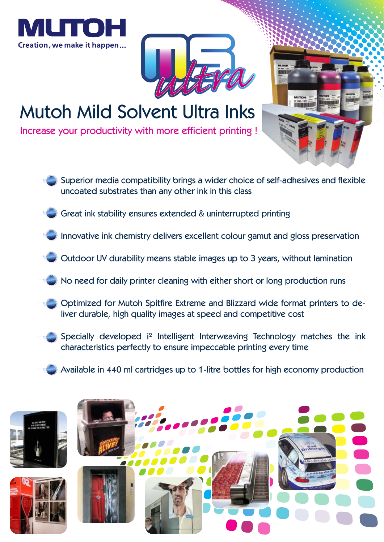





# Mutoh Mild Solvent Ultra Inks

Increase your productivity with more efficient printing !

- Superior media compatibility brings a wider choice of self-adhesives and flexible uncoated substrates than any other ink in this class
- Great ink stability ensures extended & uninterrupted printing
- Innovative ink chemistry delivers excellent colour gamut and gloss preservation
- Outdoor UV durability means stable images up to 3 years, without lamination
	- No need for daily printer cleaning with either short or long production runs
	- Optimized for Mutoh Spitfire Extreme and Blizzard wide format printers to deliver durable, high quality images at speed and competitive cost
- Specially developed i² Intelligent Interweaving Technology matches the ink characteristics perfectly to ensure impeccable printing every time
- Available in 440 ml cartridges up to 1-litre bottles for high economy production